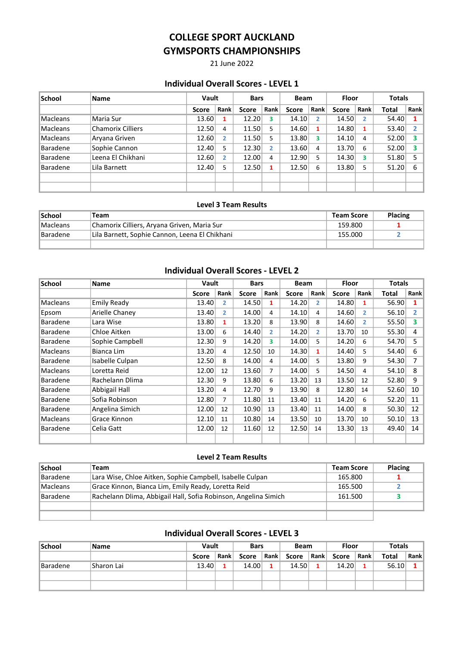21 June 2022

### Individual Overall Scores - LEVEL 1

| <b>School</b>   | Name                     |              | Vault |              | <b>Bars</b> |              | <b>Beam</b> | <b>Floor</b> |      | <b>Totals</b> |      |
|-----------------|--------------------------|--------------|-------|--------------|-------------|--------------|-------------|--------------|------|---------------|------|
|                 |                          | <b>Score</b> | Rank  | <b>Score</b> | Rank        | <b>Score</b> | Rank        | <b>Score</b> | Rank | Total         | Rank |
| Macleans        | Maria Sur                | 13.60        |       | 12.20        | 3           | 14.10        | 2.          | 14.50        | 2    | 54.40         |      |
| Macleans        | <b>Chamorix Cilliers</b> | 12.50        | 4     | 11.50        | 5           | 14.60        | 1           | 14.80        | 1    | 53.40         |      |
| Macleans        | Aryana Griven            | 12.60        | 2     | 11.50        | 5           | 13.80        | 3           | 14.10        | 4    | 52.00         | 3    |
| <b>Baradene</b> | Sophie Cannon            | 12.40        | 5     | 12.30        | 2           | 13.60        | 4           | 13.70        | 6    | 52.00         | 3    |
| <b>Baradene</b> | Leena El Chikhani        | 12.60        | 2     | 12.00        | 4           | 12.90        | 5.          | 14.30        | 3    | 51.80         | 5    |
| <b>Baradene</b> | Lila Barnett             | 12.40        | 5     | 12.50        |             | 12.50        | 6           | 13.80        | 5    | 51.20         | 6    |
|                 |                          |              |       |              |             |              |             |              |      |               |      |
|                 |                          |              |       |              |             |              |             |              |      |               |      |

### Level 3 Team Results

| <b>School</b>   | Team                                           | Team Score | <b>Placing</b> |
|-----------------|------------------------------------------------|------------|----------------|
| <b>Macleans</b> | Chamorix Cilliers, Aryana Griven, Maria Sur    | 159.800    |                |
| <b>Baradene</b> | Lila Barnett, Sophie Cannon, Leena El Chikhani | 155.000    |                |
|                 |                                                |            |                |

### Individual Overall Scores - LEVEL 2

| School          | Name            | Vault |                | <b>Bars</b>  |                | <b>Beam</b>  |                | Floor |                | <b>Totals</b> |                |
|-----------------|-----------------|-------|----------------|--------------|----------------|--------------|----------------|-------|----------------|---------------|----------------|
|                 |                 | Score | Rank           | <b>Score</b> | Rank           | <b>Score</b> | Rank           | Score | Rank           | Total         | Rank           |
| Macleans        | Emily Ready     | 13.40 | 2              | 14.50        | 1              | 14.20        | $\overline{2}$ | 14.80 | 1              | 56.90         | 1              |
| Epsom           | Arielle Chaney  | 13.40 | $\overline{2}$ | 14.00        | 4              | 14.10        | 4              | 14.60 | 2              | 56.10         | $\overline{2}$ |
| <b>Baradene</b> | Lara Wise       | 13.80 | 1              | 13.20        | 8              | 13.90        | 8              | 14.60 | $\overline{2}$ | 55.50         | 3              |
| <b>Baradene</b> | Chloe Aitken    | 13.00 | 6              | 14.40        | $\mathbf{2}$   | 14.20        | $\mathbf{z}$   | 13.70 | 10             | 55.30         | 4              |
| <b>Baradene</b> | Sophie Campbell | 12.30 | 9              | 14.20        | 3              | 14.00        | 5.             | 14.20 | 6              | 54.70         | 5              |
| Macleans        | Bianca Lim      | 13.20 | 4              | 12.50        | 10             | 14.30        | $\mathbf{1}$   | 14.40 | 5.             | 54.40         | 6              |
| <b>Baradene</b> | Isabelle Culpan | 12.50 | 8              | 14.00        | 4              | 14.00        | 5.             | 13.80 | 9              | 54.30         | 7              |
| Macleans        | Loretta Reid    | 12.00 | 12             | 13.60        | $\overline{7}$ | 14.00        | 5.             | 14.50 | 4              | 54.10         | 8              |
| <b>Baradene</b> | Rachelann Dlima | 12.30 | 9              | 13.80        | 6              | 13.20        | 13             | 13.50 | 12             | 52.80         | 9              |
| <b>Baradene</b> | Abbigail Hall   | 13.20 | 4              | 12.70        | 9              | 13.90        | 8              | 12.80 | 14             | 52.60         | 10             |
| <b>Baradene</b> | Sofia Robinson  | 12.80 | 7              | 11.80        | 11             | 13.40        | 11             | 14.20 | 6              | 52.20         | 11             |
| <b>Baradene</b> | Angelina Simich | 12.00 | 12             | 10.90        | 13             | 13.40        | 11             | 14.00 | 8              | 50.30         | 12             |
| Macleans        | Grace Kinnon    | 12.10 | 11             | 10.80        | 14             | 13.50        | 10             | 13.70 | 10             | 50.10         | 13             |
| <b>Baradene</b> | Celia Gatt      | 12.00 | 12             | 11.60        | 12             | 12.50        | 14             | 13.30 | 13             | 49.40         | 14             |
|                 |                 |       |                |              |                |              |                |       |                |               |                |

#### Level 2 Team Results

| <b>School</b>   | Team                                                            | <b>Team Score</b> | <b>Placing</b> |
|-----------------|-----------------------------------------------------------------|-------------------|----------------|
| Baradene        | Lara Wise, Chloe Aitken, Sophie Campbell, Isabelle Culpan       | 165.800           |                |
| <b>Macleans</b> | Grace Kinnon, Bianca Lim, Emily Ready, Loretta Reid             | 165.500           |                |
| Baradene        | Rachelann Dlima, Abbigail Hall, Sofia Robinson, Angelina Simich | 161.500           |                |
|                 |                                                                 |                   |                |
|                 |                                                                 |                   |                |

## Individual Overall Scores - LEVEL 3

| <b>School</b>   | <b>Name</b> | Vault         |    | <b>Bars</b> |      | Beam          |  | <b>Floor</b> |      | <b>Totals</b> |      |
|-----------------|-------------|---------------|----|-------------|------|---------------|--|--------------|------|---------------|------|
|                 |             | Rank<br>Score |    | Score       | Rank | Rank<br>Score |  | Score        | Rank | <b>Total</b>  | Rank |
| <b>Baradene</b> | Sharon Lai  | 13.40         | 1. | 14.00       |      | 14.50         |  | 14.20        |      | 56.10         |      |
|                 |             |               |    |             |      |               |  |              |      |               |      |
|                 |             |               |    |             |      |               |  |              |      |               |      |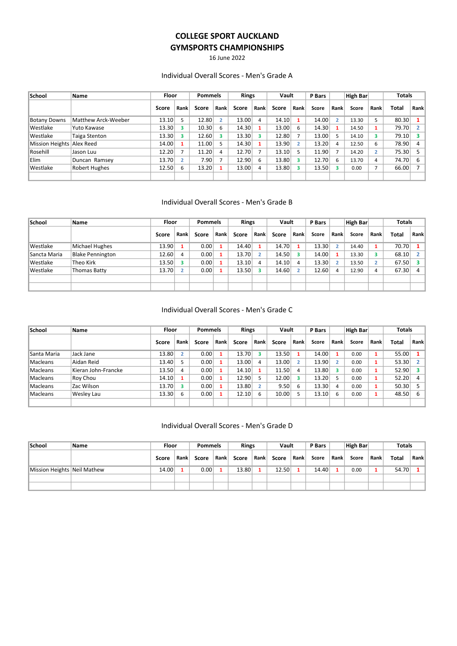16 June 2022

#### Individual Overall Scores - Men's Grade A

| School                    | <b>Name</b>          | <b>Floor</b> |      | <b>Pommels</b> |             | <b>Rings</b> |      | Vault |      | P Bars |      | High Bar |                | <b>Totals</b> |      |
|---------------------------|----------------------|--------------|------|----------------|-------------|--------------|------|-------|------|--------|------|----------|----------------|---------------|------|
|                           |                      | Score        | Rank | Score          | <b>Rank</b> | Score        | Rank | Score | Rank | Score  | Rank | Score    | Rank           | Total         | Rank |
| <b>Botany Downs</b>       | Matthew Arck-Weeber  | 13.10        |      | 12.80          | 2           | 13.00        | 4    | 14.10 |      | 14.00  | 2    | 13.30    | 5              | 80.30         |      |
| Westlake                  | Yuto Kawase          | 13.30        |      | 10.30          | 6           | 14.30        |      | 13.00 | 6    | 14.30  |      | 14.50    |                | 79.70         |      |
| Westlake                  | Taiga Stenton        | 13.30        |      | 12.60          | 3           | 13.30        | з    | 12.80 |      | 13.00  | 5.   | 14.10    | 3              | 79.10         |      |
| Mission Heights Alex Reed |                      | 14.00        |      | 11.00          | 5           | 14.30        |      | 13.90 |      | 13.20  | 4    | 12.50    | 6              | 78.90         | 4    |
| Rosehill                  | Jason Luu            | 12.20        |      | 11.20          | 4           | 12.70        |      | 13.10 |      | 11.90  |      | 14.20    | $\overline{2}$ | 75.30         |      |
| Elim                      | Duncan Ramsey        | 13.70        |      | 7.90           | 7           | 12.90        | 6    | 13.80 |      | 12.70  | 6    | 13.70    | 4              | 74.70         | 6    |
| Westlake                  | <b>Robert Hughes</b> | 12.50        | 6    | 13.20          | 1           | 13.00        | 4    | 13.80 |      | 13.50  | 3.   | 0.00     |                | 66.00         |      |
|                           |                      |              |      |                |             |              |      |       |      |        |      |          |                |               |      |

#### Individual Overall Scores - Men's Grade B

| School       | Name                    | Floor |               | <b>Pommels</b> |      | <b>Rings</b> |      | Vault |      | P Bars |                | High Bar |                | <b>Totals</b> |      |
|--------------|-------------------------|-------|---------------|----------------|------|--------------|------|-------|------|--------|----------------|----------|----------------|---------------|------|
|              |                         | Score | Rank          | Score          | Rank | Score        | Rank | Score | Rank | Score  | Rank           | Score    | <b>Rank</b>    | Total         | Rank |
| Westlake     | Michael Hughes          | 13.90 |               | 0.00           | 1    | 14.40        |      | 14.70 |      | 13.30  | $\overline{2}$ | 14.40    |                | 70.70         |      |
| Sancta Maria | <b>Blake Pennington</b> | 12.60 | 4             | 0.00           |      | 13.70        |      | 14.50 |      | 14.00  |                | 13.30    | з              | 68.10         |      |
| Westlake     | 'Theo Kirk              | 13.50 | 3.            | 0.00           |      | 13.10        | 4    | 14.10 |      | 13.30  |                | 13.50    | $\overline{2}$ | 67.50         |      |
| Westlake     | Thomas Batty            | 13.70 | $\mathcal{D}$ | 0.00           | 1    | 13.50        |      | 14.60 |      | 12.60  | 4              | 12.90    | 4              | 67.30         | 4    |
|              |                         |       |               |                |      |              |      |       |      |        |                |          |                |               |      |
|              |                         |       |               |                |      |              |      |       |      |        |                |          |                |               |      |

#### Individual Overall Scores - Men's Grade C

| <b>School</b> | Name                | Floor |      | <b>Pommels</b> | <b>Rings</b> |       | Vault |       | P Bars |       | High Bar |       | <b>Totals</b> |       |      |
|---------------|---------------------|-------|------|----------------|--------------|-------|-------|-------|--------|-------|----------|-------|---------------|-------|------|
|               |                     | Score | Rank | Score          | Rank         | Score | Rank  | Score | Rank   | Score | Rank     | Score | Rank          | Total | Rank |
| Santa Maria   | Jack Jane           | 13.80 |      | 0.00           |              | 13.70 |       | 13.50 |        | 14.00 |          | 0.00  |               | 55.00 |      |
| Macleans      | Aidan Reid          | 13.40 |      | 0.00           |              | 13.00 | 4     | 13.00 |        | 13.90 |          | 0.00  |               | 53.30 |      |
| Macleans      | Kieran John-Francke | 13.50 | 4    | 0.00           |              | 14.10 |       | 11.50 | 4      | 13.80 | 3        | 0.00  |               | 52.90 | 3    |
| Macleans      | Roy Chou            | 14.10 |      | 0.00           |              | 12.90 |       | 12.00 |        | 13.20 |          | 0.00  |               | 52.20 | 4    |
| Macleans      | Zac Wilson          | 13.70 |      | 0.00           | 1            | 13.80 |       | 9.50  | 6      | 13.30 | 4        | 0.00  |               | 50.30 |      |
| Macleans      | Wesley Lau          | 13.30 | 6    | 0.00           |              | 12.10 | 6     | 10.00 |        | 13.10 | 6        | 0.00  | и             | 48.50 | 6    |
|               |                     |       |      |                |              |       |       |       |        |       |          |       |               |       |      |

### Individual Overall Scores - Men's Grade D

| <b>School</b>               | Name | Floor |      | Pommels |      | <b>Rings</b> |      | Vault |      | P Bars |      | High Bar |      | <b>Totals</b> |      |
|-----------------------------|------|-------|------|---------|------|--------------|------|-------|------|--------|------|----------|------|---------------|------|
|                             |      | Score | Rank | Score   | Rank | Score        | Rank | Score | Rank | Score  | Rank | Score    | Rank | <b>Total</b>  | Rank |
| Mission Heights Neil Mathew |      | 14.00 |      | 0.00    |      | 13.80        |      | 12.50 |      | 14.40  |      | 0.00     |      | 54.70         |      |
|                             |      |       |      |         |      |              |      |       |      |        |      |          |      |               |      |
|                             |      |       |      |         |      |              |      |       |      |        |      |          |      |               |      |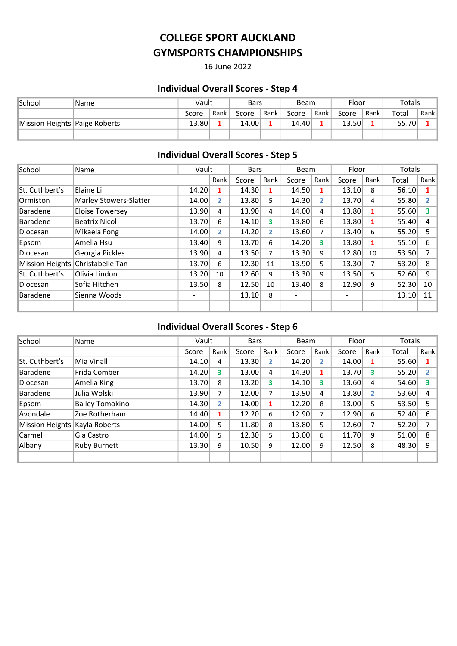16 June 2022

# Individual Overall Scores - Step 4

| <i><b>School</b></i>          | 'Name | Vault         |  | Bars  |        | <b>Beam</b> |      | Floor         |  | Totals |      |
|-------------------------------|-------|---------------|--|-------|--------|-------------|------|---------------|--|--------|------|
|                               |       | Rank<br>Score |  | Score | Rank I | Score       | Rank | Rank<br>Score |  | Total  | Rank |
| Mission Heights Paige Roberts |       | 13.80         |  | 14.00 |        | 14.40       |      | 13.50         |  | 55.70  |      |
|                               |       |               |  |       |        |             |      |               |  |        |      |

# Individual Overall Scores - Step 5

| School          | Name                             |       | Vault          |       | <b>Bars</b>    | Beam                     |                | Floor |      | Totals |                   |
|-----------------|----------------------------------|-------|----------------|-------|----------------|--------------------------|----------------|-------|------|--------|-------------------|
|                 |                                  |       | Rank           | Score | Rank           | Score                    | Rank           | Score | Rank | Total  | Rank <sup>1</sup> |
| St. Cuthbert's  | Elaine Li                        | 14.20 | 1              | 14.30 | 1              | 14.50                    | 1              | 13.10 | 8    | 56.10  | 1                 |
| Ormiston        | <b>Marley Stowers-Slatter</b>    | 14.00 | $\mathbf{2}^-$ | 13.80 | 5.             | 14.30                    | $\overline{2}$ | 13.70 | 4    | 55.80  |                   |
| <b>Baradene</b> | <b>Eloise Towersey</b>           | 13.90 | 4              | 13.90 | 4              | 14.00                    | 4              | 13.80 | 1    | 55.60  | 3                 |
| <b>Baradene</b> | <b>Beatrix Nicol</b>             | 13.70 | 6              | 14.10 | 3              | 13.80                    | 6              | 13.80 | 1    | 55.40  | $\overline{4}$    |
| Diocesan        | Mikaela Fong                     | 14.00 | 2.             | 14.20 | $\overline{2}$ | 13.60                    | 7              | 13.40 | 6    | 55.20  | 5.                |
| Epsom           | Amelia Hsu                       | 13.40 | 9              | 13.70 | 6              | 14.20                    | 3              | 13.80 | 1    | 55.10  | 6                 |
| Diocesan        | Georgia Pickles                  | 13.90 | 4              | 13.50 | 7              | 13.30                    | 9              | 12.80 | 10   | 53.50  | 7                 |
|                 | Mission Heights Christabelle Tan | 13.70 | 6              | 12.30 | 11             | 13.90                    | 5              | 13.30 | 7    | 53.20  | 8                 |
| St. Cuthbert's  | Olivia Lindon                    | 13.20 | 10             | 12.60 | 9              | 13.30                    | 9              | 13.50 | 5    | 52.60  | 9                 |
| Diocesan        | Sofia Hitchen                    | 13.50 | 8              | 12.50 | 10             | 13.40                    | 8              | 12.90 | 9    | 52.30  | 10 <sup>1</sup>   |
| <b>Baradene</b> | Sienna Woods                     | -     |                | 13.10 | 8              | $\overline{\phantom{0}}$ |                |       |      | 13.10  | 11                |
|                 |                                  |       |                |       |                |                          |                |       |      |        |                   |

## Individual Overall Scores - Step 6

| School          | Name                   | Vault |      | <b>Bars</b> |                | <b>Beam</b> |                         | Floor |      | Totals |      |
|-----------------|------------------------|-------|------|-------------|----------------|-------------|-------------------------|-------|------|--------|------|
|                 |                        | Score | Rank | Score       | Rank           | Score       | Rank                    | Score | Rank | Total  | Rank |
| St. Cuthbert's  | Mia Vinall             | 14.10 | 4    | 13.30       | $\overline{2}$ | 14.20       | $\overline{2}$          | 14.00 | 1    | 55.60  |      |
| <b>Baradene</b> | Frida Comber           | 14.20 | 3    | 13.00       | 4              | 14.30       | 1                       | 13.70 | 3    | 55.20  |      |
| Diocesan        | Amelia King            | 13.70 | 8    | 13.20       | 3              | 14.10       | $\overline{\mathbf{3}}$ | 13.60 | 4    | 54.60  | 3    |
| <b>Baradene</b> | Julia Wolski           | 13.90 | 7    | 12.00       | 7              | 13.90       | 4                       | 13.80 | 2    | 53.60  | 4    |
| Epsom           | <b>Bailey Tomokino</b> | 14.30 | 2    | 14.00       | 1              | 12.20       | 8                       | 13.00 | 5    | 53.50  | 5    |
| Avondale        | Zoe Rotherham          | 14.40 |      | 12.20       | 6              | 12.90       | 7                       | 12.90 | 6    | 52.40  | 6    |
| Mission Heights | Kayla Roberts          | 14.00 | 5    | 11.80       | 8              | 13.80       | 5                       | 12.60 | 7    | 52.20  | ⇁    |
| Carmel          | Gia Castro             | 14.00 | 5    | 12.30       | 5              | 13.00       | 6                       | 11.70 | 9    | 51.00  | 8    |
| Albany          | <b>Ruby Burnett</b>    | 13.30 | 9    | 10.50       | 9              | 12.00       | 9                       | 12.50 | 8    | 48.30  | 9    |
|                 |                        |       |      |             |                |             |                         |       |      |        |      |